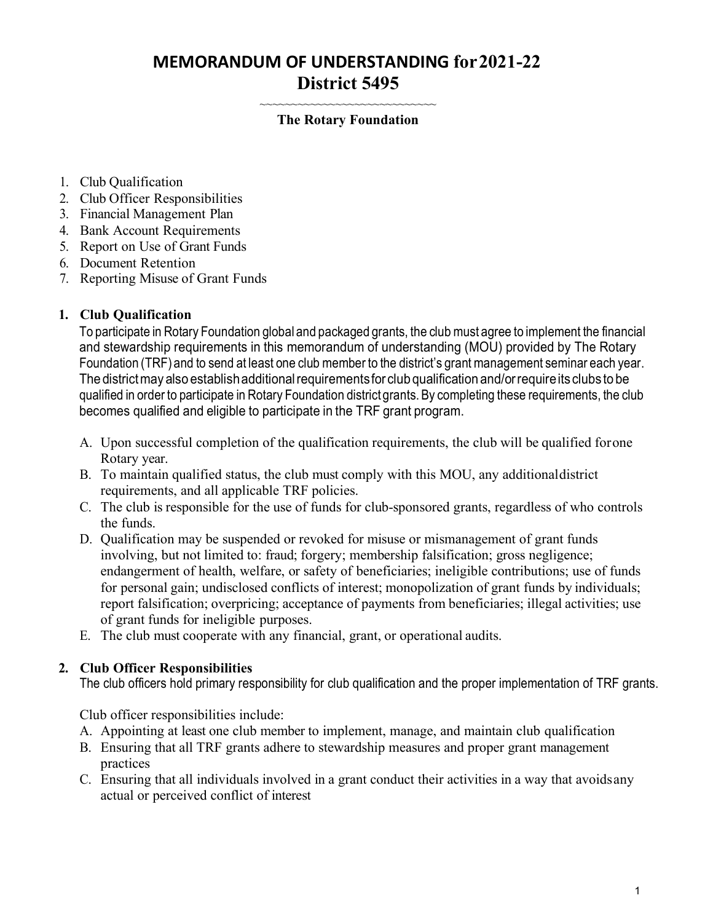# **MEMORANDUM OF UNDERSTANDING for2021-22 District 5495**

#### ~~~~~~~~~~~~~~~~~~~~~~~~~~ **The Rotary Foundation**

- 1. Club Qualification
- 2. Club Officer Responsibilities
- 3. Financial Management Plan
- 4. Bank Account Requirements
- 5. Report on Use of Grant Funds
- 6. Document Retention
- 7. Reporting Misuse of Grant Funds

#### **1. Club Qualification**

To participate in Rotary Foundation global and packaged grants, the club must agree to implement the financial and stewardship requirements in this memorandum of understanding (MOU) provided by The Rotary Foundation (TRF) and to send at least one club member to the district's grant management seminar each year. The district may also establish additional requirements for club qualification and/or require its clubs to be qualified in order to participate in Rotary Foundation district grants. By completing these requirements, the club becomes qualified and eligible to participate in the TRF grant program.

- A. Upon successful completion of the qualification requirements, the club will be qualified forone Rotary year.
- B. To maintain qualified status, the club must comply with this MOU, any additionaldistrict requirements, and all applicable TRF policies.
- C. The club is responsible for the use of funds for club-sponsored grants, regardless of who controls the funds.
- D. Qualification may be suspended or revoked for misuse or mismanagement of grant funds involving, but not limited to: fraud; forgery; membership falsification; gross negligence; endangerment of health, welfare, or safety of beneficiaries; ineligible contributions; use of funds for personal gain; undisclosed conflicts of interest; monopolization of grant funds by individuals; report falsification; overpricing; acceptance of payments from beneficiaries; illegal activities; use of grant funds for ineligible purposes.
- E. The club must cooperate with any financial, grant, or operational audits.

## **2. Club Officer Responsibilities**

The club officers hold primary responsibility for club qualification and the proper implementation of TRF grants.

Club officer responsibilities include:

- A. Appointing at least one club member to implement, manage, and maintain club qualification
- B. Ensuring that all TRF grants adhere to stewardship measures and proper grant management practices
- C. Ensuring that all individuals involved in a grant conduct their activities in a way that avoidsany actual or perceived conflict of interest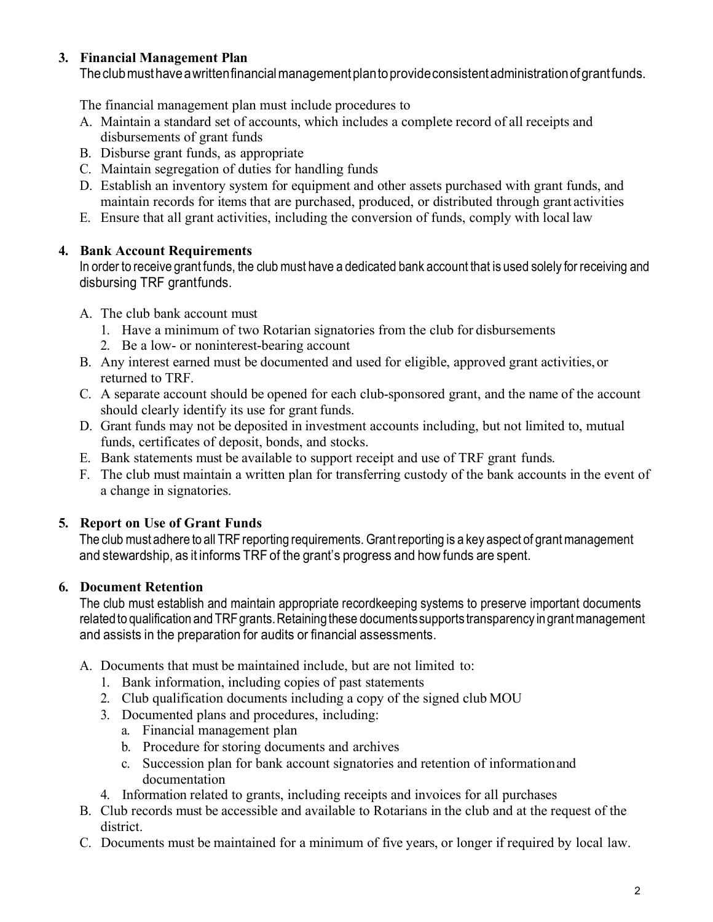# **3. Financial Management Plan**

Theclubmusthaveawrittenfinancial managementplantoprovideconsistentadministrationofgrantfunds.

The financial management plan must include procedures to

- A. Maintain a standard set of accounts, which includes a complete record of all receipts and disbursements of grant funds
- B. Disburse grant funds, as appropriate
- C. Maintain segregation of duties for handling funds
- D. Establish an inventory system for equipment and other assets purchased with grant funds, and maintain records for items that are purchased, produced, or distributed through grant activities
- E. Ensure that all grant activities, including the conversion of funds, comply with local law

# **4. Bank Account Requirements**

In order to receive grant funds, the club must have a dedicated bank account that is used solely for receiving and disbursing TRF grantfunds.

- A. The club bank account must
	- 1. Have a minimum of two Rotarian signatories from the club for disbursements
	- 2. Be a low- or noninterest-bearing account
- B. Any interest earned must be documented and used for eligible, approved grant activities, or returned to TRF.
- C. A separate account should be opened for each club-sponsored grant, and the name of the account should clearly identify its use for grant funds.
- D. Grant funds may not be deposited in investment accounts including, but not limited to, mutual funds, certificates of deposit, bonds, and stocks.
- E. Bank statements must be available to support receipt and use of TRF grant funds.
- F. The club must maintain a written plan for transferring custody of the bank accounts in the event of a change in signatories.

# **5. Report on Use of Grant Funds**

The club must adhere to all TRF reporting requirements. Grant reporting is a key aspect of grant management and stewardship, as it informs TRF of the grant's progress and how funds are spent.

# **6. Document Retention**

The club must establish and maintain appropriate recordkeeping systems to preserve important documents related to qualification and TRF grants. Retaining these documents supports transparency in grant management and assists in the preparation for audits or financial assessments.

- A. Documents that must be maintained include, but are not limited to:
	- 1. Bank information, including copies of past statements
	- 2. Club qualification documents including a copy of the signed club MOU
	- 3. Documented plans and procedures, including:
		- a. Financial management plan
		- b. Procedure for storing documents and archives
		- c. Succession plan for bank account signatories and retention of informationand documentation
	- 4. Information related to grants, including receipts and invoices for all purchases
- B. Club records must be accessible and available to Rotarians in the club and at the request of the district.
- C. Documents must be maintained for a minimum of five years, or longer if required by local law.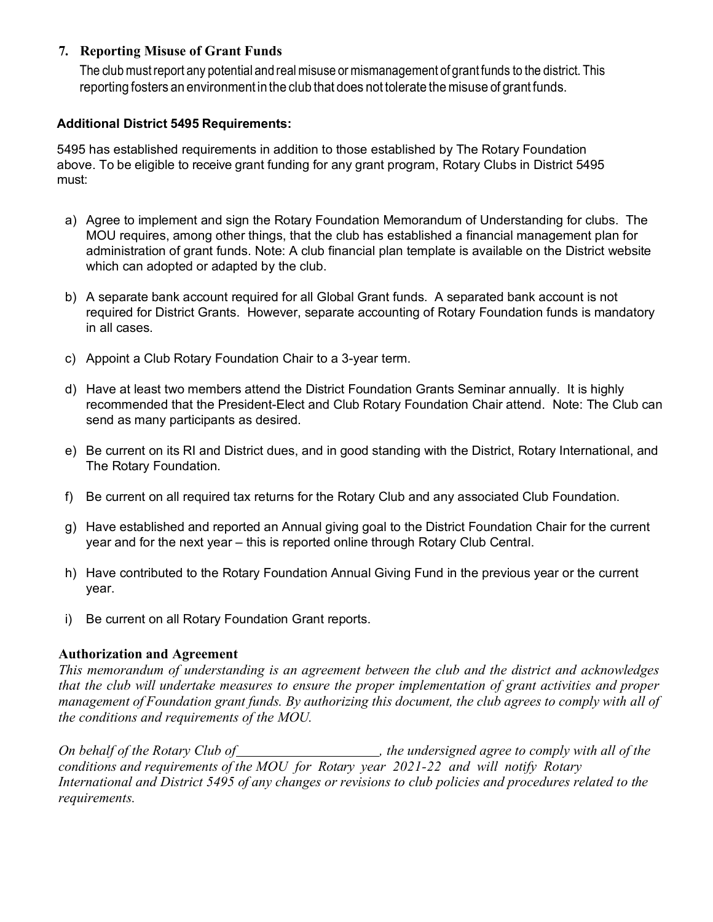## **7. Reporting Misuse of Grant Funds**

The club mustreport any potential and real misuse or mismanagement of grant funds to the district. This reporting fosters an environment in the club that does not tolerate the misuse of grant funds.

#### **Additional District 5495 Requirements:**

5495 has established requirements in addition to those established by The Rotary Foundation above. To be eligible to receive grant funding for any grant program, Rotary Clubs in District 5495 must:

- a) Agree to implement and sign the Rotary Foundation Memorandum of Understanding for clubs. The MOU requires, among other things, that the club has established a financial management plan for administration of grant funds. Note: A club financial plan template is available on the District website which can adopted or adapted by the club.
- b) A separate bank account required for all Global Grant funds. A separated bank account is not required for District Grants. However, separate accounting of Rotary Foundation funds is mandatory in all cases.
- c) Appoint a Club Rotary Foundation Chair to a 3-year term.
- d) Have at least two members attend the District Foundation Grants Seminar annually. It is highly recommended that the President-Elect and Club Rotary Foundation Chair attend. Note: The Club can send as many participants as desired.
- e) Be current on its RI and District dues, and in good standing with the District, Rotary International, and The Rotary Foundation.
- f) Be current on all required tax returns for the Rotary Club and any associated Club Foundation.
- g) Have established and reported an Annual giving goal to the District Foundation Chair for the current year and for the next year – this is reported online through Rotary Club Central.
- h) Have contributed to the Rotary Foundation Annual Giving Fund in the previous year or the current year.
- i) Be current on all Rotary Foundation Grant reports.

## **Authorization and Agreement**

*This memorandum of understanding is an agreement between the club and the district and acknowledges that the club will undertake measures to ensure the proper implementation of grant activities and proper management of Foundation grant funds. By authorizing this document, the club agrees to comply with all of the conditions and requirements of the MOU.*

*On behalf of the Rotary Club of <i>, the undersigned agree to comply with all of the conditions and requirements of the MOU for Rotary year 2021-22 and will notify Rotary International and District 5495 of any changes or revisions to club policies and procedures related to the requirements.*